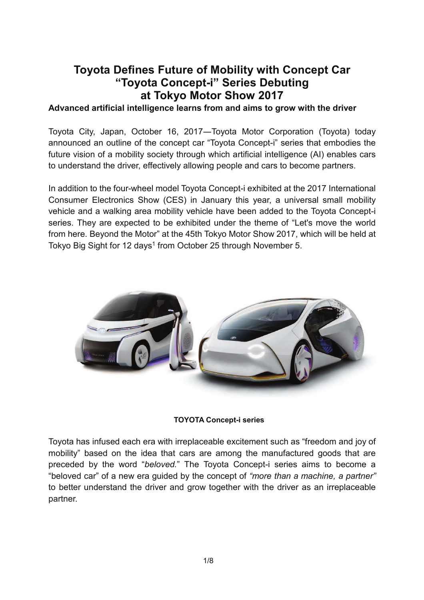# **Toyota Defines Future of Mobility with Concept Car "Toyota Concept-i" Series Debuting at Tokyo Motor Show 2017**

## **Advanced artificial intelligence learns from and aims to grow with the driver**

Toyota City, Japan, October 16, 2017―Toyota Motor Corporation (Toyota) today announced an outline of the concept car "Toyota Concept-i" series that embodies the future vision of a mobility society through which artificial intelligence (AI) enables cars to understand the driver, effectively allowing people and cars to become partners.

In addition to the four-wheel model Toyota Concept-i exhibited at the 2017 International Consumer Electronics Show (CES) in January this year, a universal small mobility vehicle and a walking area mobility vehicle have been added to the Toyota Concept-i series. They are expected to be exhibited under the theme of "Let's move the world from here. Beyond the Motor" at the 45th Tokyo Motor Show 2017, which will be held at Tokyo Big Sight for 12 days<sup>1</sup> from October 25 through November 5.



**TOYOTA Concept-i series** 

Toyota has infused each era with irreplaceable excitement such as "freedom and joy of mobility" based on the idea that cars are among the manufactured goods that are preceded by the word "*beloved.*" The Toyota Concept-i series aims to become a "beloved car" of a new era guided by the concept of *"more than a machine, a partner"*  to better understand the driver and grow together with the driver as an irreplaceable partner.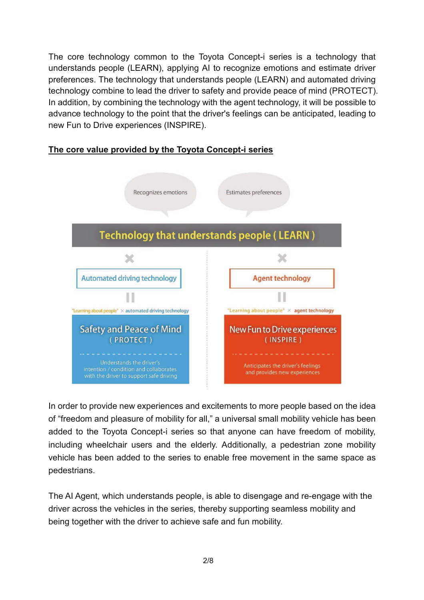The core technology common to the Toyota Concept-i series is a technology that understands people (LEARN), applying AI to recognize emotions and estimate driver preferences. The technology that understands people (LEARN) and automated driving technology combine to lead the driver to safety and provide peace of mind (PROTECT). In addition, by combining the technology with the agent technology, it will be possible to advance technology to the point that the driver's feelings can be anticipated, leading to new Fun to Drive experiences (INSPIRE).

## **The core value provided by the Toyota Concept-i series**



In order to provide new experiences and excitements to more people based on the idea of "freedom and pleasure of mobility for all," a universal small mobility vehicle has been added to the Toyota Concept-i series so that anyone can have freedom of mobility, including wheelchair users and the elderly. Additionally, a pedestrian zone mobility vehicle has been added to the series to enable free movement in the same space as pedestrians.

The AI Agent, which understands people, is able to disengage and re-engage with the driver across the vehicles in the series, thereby supporting seamless mobility and being together with the driver to achieve safe and fun mobility.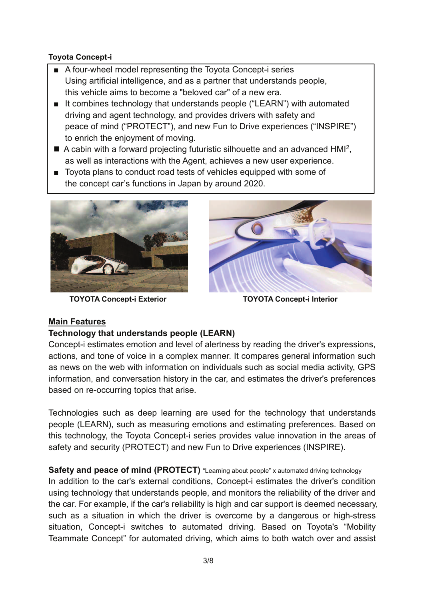## **Toyota Concept-i**

- A four-wheel model representing the Toyota Concept-i series Using artificial intelligence, and as a partner that understands people, this vehicle aims to become a "beloved car" of a new era.
- It combines technology that understands people ("LEARN") with automated driving and agent technology, and provides drivers with safety and peace of mind ("PROTECT"), and new Fun to Drive experiences ("INSPIRE") to enrich the enjoyment of moving.
- A cabin with a forward projecting futuristic silhouette and an advanced HMI<sup>2</sup>, as well as interactions with the Agent, achieves a new user experience.
- Toyota plans to conduct road tests of vehicles equipped with some of the concept car's functions in Japan by around 2020.



**TOYOTA Concept-i Exterior TOYOTA Concept-i Interior**



# **Main Features**

## **Technology that understands people (LEARN)**

Concept-i estimates emotion and level of alertness by reading the driver's expressions, actions, and tone of voice in a complex manner. It compares general information such as news on the web with information on individuals such as social media activity, GPS information, and conversation history in the car, and estimates the driver's preferences based on re-occurring topics that arise.

Technologies such as deep learning are used for the technology that understands people (LEARN), such as measuring emotions and estimating preferences. Based on this technology, the Toyota Concept-i series provides value innovation in the areas of safety and security (PROTECT) and new Fun to Drive experiences (INSPIRE).

**Safety and peace of mind (PROTECT)** "Learning about people" x automated driving technology In addition to the car's external conditions, Concept-i estimates the driver's condition using technology that understands people, and monitors the reliability of the driver and the car. For example, if the car's reliability is high and car support is deemed necessary, such as a situation in which the driver is overcome by a dangerous or high-stress situation, Concept-i switches to automated driving. Based on Toyota's "Mobility Teammate Concept" for automated driving, which aims to both watch over and assist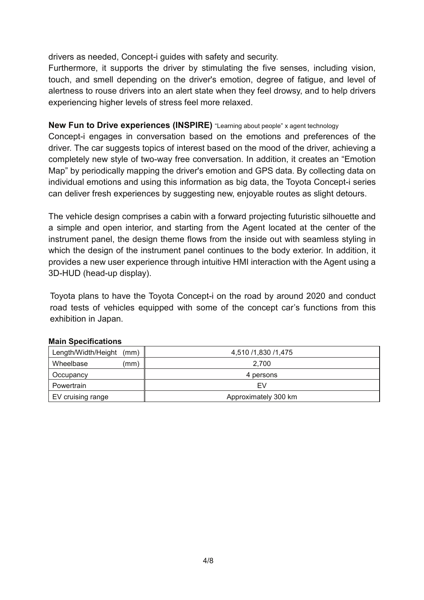drivers as needed, Concept-i guides with safety and security.

Furthermore, it supports the driver by stimulating the five senses, including vision, touch, and smell depending on the driver's emotion, degree of fatigue, and level of alertness to rouse drivers into an alert state when they feel drowsy, and to help drivers experiencing higher levels of stress feel more relaxed.

## **New Fun to Drive experiences (INSPIRE)** "Learning about people" x agent technology

Concept-i engages in conversation based on the emotions and preferences of the driver. The car suggests topics of interest based on the mood of the driver, achieving a completely new style of two-way free conversation. In addition, it creates an "Emotion Map" by periodically mapping the driver's emotion and GPS data. By collecting data on individual emotions and using this information as big data, the Toyota Concept-i series can deliver fresh experiences by suggesting new, enjoyable routes as slight detours.

The vehicle design comprises a cabin with a forward projecting futuristic silhouette and a simple and open interior, and starting from the Agent located at the center of the instrument panel, the design theme flows from the inside out with seamless styling in which the design of the instrument panel continues to the body exterior. In addition, it provides a new user experience through intuitive HMI interaction with the Agent using a 3D-HUD (head-up display).

Toyota plans to have the Toyota Concept-i on the road by around 2020 and conduct road tests of vehicles equipped with some of the concept car's functions from this exhibition in Japan.

#### **Main Specifications**

| Length/Width/Height<br>(mm) | 4,510 /1,830 /1,475  |
|-----------------------------|----------------------|
| Wheelbase<br>(mm)           | 2.700                |
| Occupancy                   | 4 persons            |
| Powertrain                  | FV                   |
| EV cruising range           | Approximately 300 km |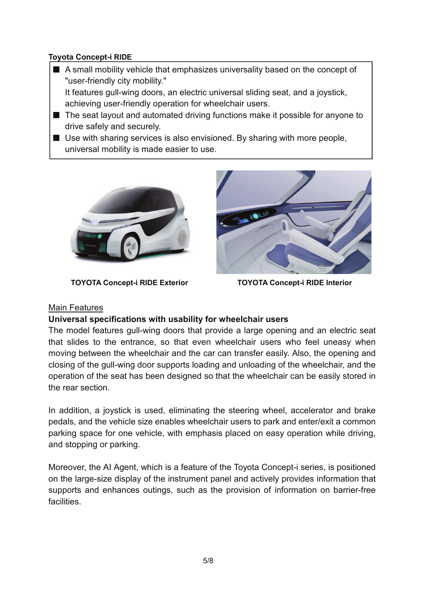## **Toyota Concept-i RIDE**

 A small mobility vehicle that emphasizes universality based on the concept of "user-friendly city mobility."

It features gull-wing doors, an electric universal sliding seat, and a joystick, achieving user-friendly operation for wheelchair users.

- The seat layout and automated driving functions make it possible for anyone to drive safely and securely.
- Use with sharing services is also envisioned. By sharing with more people, universal mobility is made easier to use.



**TOYOTA Concept-i RIDE Exterior TOYOTA Concept-i RIDE Interior** 



## Main Features

## **Universal specifications with usability for wheelchair users**

The model features gull-wing doors that provide a large opening and an electric seat that slides to the entrance, so that even wheelchair users who feel uneasy when moving between the wheelchair and the car can transfer easily. Also, the opening and closing of the gull-wing door supports loading and unloading of the wheelchair, and the operation of the seat has been designed so that the wheelchair can be easily stored in the rear section.

In addition, a joystick is used, eliminating the steering wheel, accelerator and brake pedals, and the vehicle size enables wheelchair users to park and enter/exit a common parking space for one vehicle, with emphasis placed on easy operation while driving, and stopping or parking.

Moreover, the AI Agent, which is a feature of the Toyota Concept-i series, is positioned on the large-size display of the instrument panel and actively provides information that supports and enhances outings, such as the provision of information on barrier-free facilities.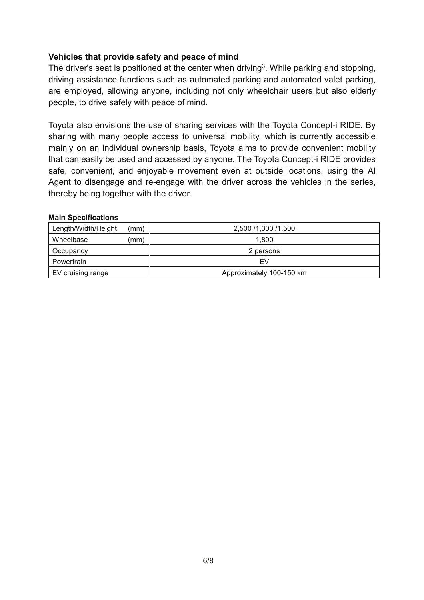## **Vehicles that provide safety and peace of mind**

The driver's seat is positioned at the center when driving<sup>3</sup>. While parking and stopping, driving assistance functions such as automated parking and automated valet parking, are employed, allowing anyone, including not only wheelchair users but also elderly people, to drive safely with peace of mind.

Toyota also envisions the use of sharing services with the Toyota Concept-i RIDE. By sharing with many people access to universal mobility, which is currently accessible mainly on an individual ownership basis, Toyota aims to provide convenient mobility that can easily be used and accessed by anyone. The Toyota Concept-i RIDE provides safe, convenient, and enjoyable movement even at outside locations, using the AI Agent to disengage and re-engage with the driver across the vehicles in the series, thereby being together with the driver.

#### **Main Specifications**

| Length/Width/Height | (mm) | 2,500 /1,300 /1,500      |
|---------------------|------|--------------------------|
| Wheelbase           | (mm  | 1.800                    |
| Occupancy           |      | 2 persons                |
| Powertrain          |      | F٧                       |
| EV cruising range   |      | Approximately 100-150 km |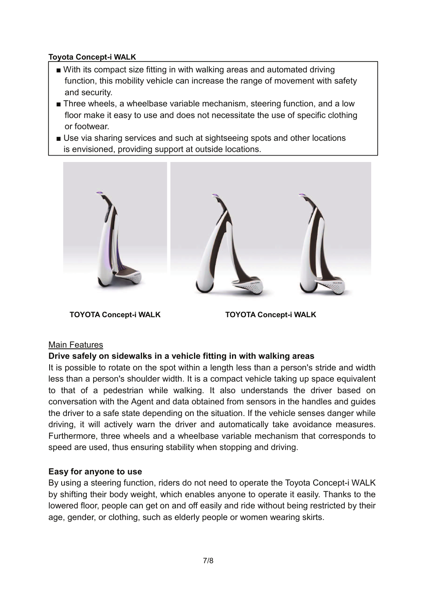## **Toyota Concept-i WALK**

- With its compact size fitting in with walking areas and automated driving function, this mobility vehicle can increase the range of movement with safety and security.
- Three wheels, a wheelbase variable mechanism, steering function, and a low floor make it easy to use and does not necessitate the use of specific clothing or footwear.
- Use via sharing services and such at sightseeing spots and other locations is envisioned, providing support at outside locations.



**TOYOTA Concept-i WALK TOYOTA Concept-i WALK** 

## Main Features

## **Drive safely on sidewalks in a vehicle fitting in with walking areas**

It is possible to rotate on the spot within a length less than a person's stride and width less than a person's shoulder width. It is a compact vehicle taking up space equivalent to that of a pedestrian while walking. It also understands the driver based on conversation with the Agent and data obtained from sensors in the handles and guides the driver to a safe state depending on the situation. If the vehicle senses danger while driving, it will actively warn the driver and automatically take avoidance measures. Furthermore, three wheels and a wheelbase variable mechanism that corresponds to speed are used, thus ensuring stability when stopping and driving.

## **Easy for anyone to use**

By using a steering function, riders do not need to operate the Toyota Concept-i WALK by shifting their body weight, which enables anyone to operate it easily. Thanks to the lowered floor, people can get on and off easily and ride without being restricted by their age, gender, or clothing, such as elderly people or women wearing skirts.